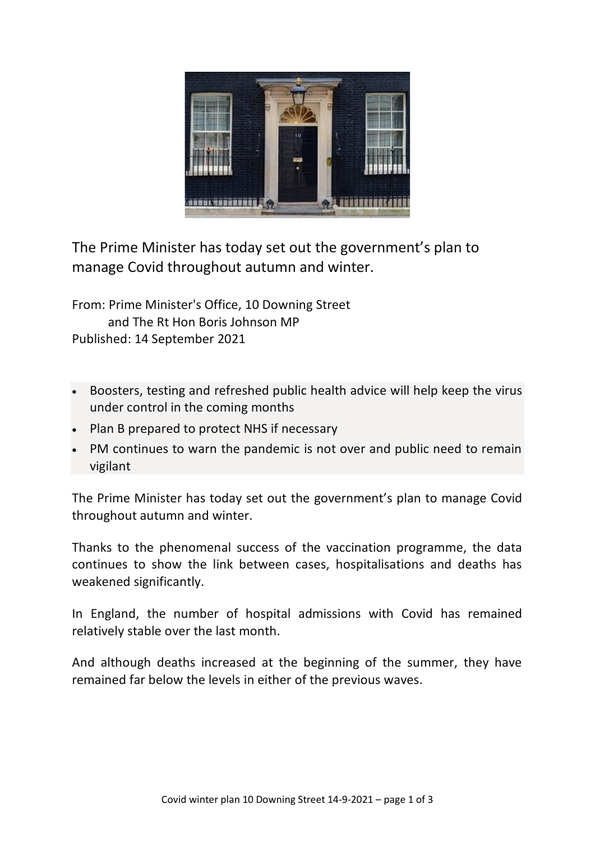

The Prime Minister has today set out the government's plan to manage Covid throughout autumn and winter.

From: Prime Minister's Office, 10 Downing Street and The Rt Hon Boris Johnson MP Published: 14 September 2021

- Boosters, testing and refreshed public health advice will help keep the virus under control in the coming months
- Plan B prepared to protect NHS if necessary
- PM continues to warn the pandemic is not over and public need to remain vigilant

The Prime Minister has today set out the government's plan to manage Covid throughout autumn and winter.

Thanks to the phenomenal success of the vaccination programme, the data continues to show the link between cases, hospitalisations and deaths has weakened significantly.

In England, the number of hospital admissions with Covid has remained relatively stable over the last month.

And although deaths increased at the beginning of the summer, they have remained far below the levels in either of the previous waves.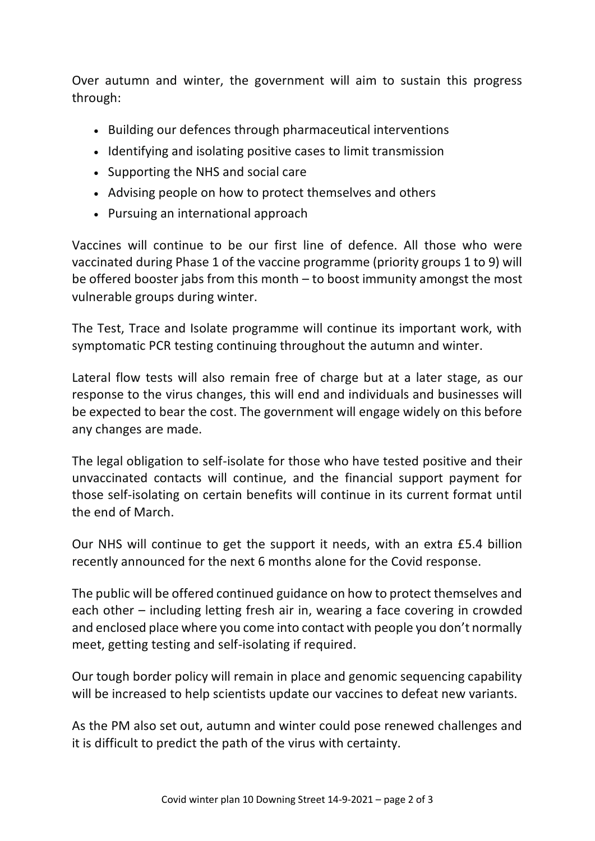Over autumn and winter, the government will aim to sustain this progress through:

- Building our defences through pharmaceutical interventions
- Identifying and isolating positive cases to limit transmission
- Supporting the NHS and social care
- Advising people on how to protect themselves and others
- Pursuing an international approach

Vaccines will continue to be our first line of defence. All those who were vaccinated during Phase 1 of the vaccine programme (priority groups 1 to 9) will be offered booster jabs from this month – to boost immunity amongst the most vulnerable groups during winter.

The Test, Trace and Isolate programme will continue its important work, with symptomatic PCR testing continuing throughout the autumn and winter.

Lateral flow tests will also remain free of charge but at a later stage, as our response to the virus changes, this will end and individuals and businesses will be expected to bear the cost. The government will engage widely on this before any changes are made.

The legal obligation to self-isolate for those who have tested positive and their unvaccinated contacts will continue, and the financial support payment for those self-isolating on certain benefits will continue in its current format until the end of March.

Our NHS will continue to get the support it needs, with an extra £5.4 billion recently announced for the next 6 months alone for the Covid response.

The public will be offered continued guidance on how to protect themselves and each other – including letting fresh air in, wearing a face covering in crowded and enclosed place where you come into contact with people you don't normally meet, getting testing and self-isolating if required.

Our tough border policy will remain in place and genomic sequencing capability will be increased to help scientists update our vaccines to defeat new variants.

As the PM also set out, autumn and winter could pose renewed challenges and it is difficult to predict the path of the virus with certainty.